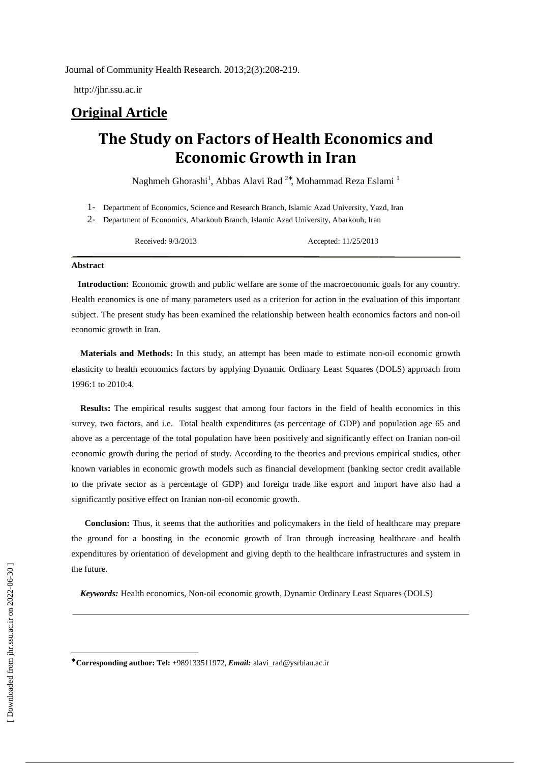http://jhr.ssu.ac.ir

## **Original Article**

# **The Study on Factors of Health Economics and Economic Growth in Iran**

Naghmeh Ghorashi<sup>1</sup>, Abbas Alavi Rad<sup>2\*</sup>, Mohammad Reza Eslami<sup>1</sup>

- 1- Department of Economics, Science and Research Branch, Islamic Azad University, Yazd, Iran
- 2- Department of Economics, Abarkouh Branch, Islamic Azad University, Abarkouh, Iran

Received: 9/3/2013 Accepted: 11/25/2013

#### **Abstract**

 **Introduction:** Economic growth and public welfare are some of the macroeconomic goals for any country. Health economics is one of many parameters used as a criterion for action in the evaluation of this important subject. The present study has been examined the relationship between health economics factors and non-oil economic growth in Iran.

 **Materials and Methods:** In this study, an attempt has been made to estimate non-oil economic growth elasticity to health economics factors by applying Dynamic Ordinary Least Squares (DOLS) approach from 1996:1 to 2010:4.

 **Results:** The empirical results suggest that among four factors in the field of health economics in this survey, two factors, and i.e. Total health expenditures (as percentage of GDP) and population age 65 and above as a percentage of the total population have been positively and significantly effect on Iranian non-oil economic growth during the period of study. According to the theories and previous empirical studies, other known variables in economic growth models such as financial development (banking sector credit available to the private sector as a percentage of GDP) and foreign trade like export and import have also had a significantly positive effect on Iranian non-oil economic growth.

**Conclusion:** Thus, it seems that the authorities and policymakers in the field of healthcare may prepare the ground for a boosting in the economic growth of Iran through increasing healthcare and health expenditures by orientation of development and giving depth to the healthcare infrastructures and system in the future.

 *Keywords:* Health economics, Non-oil economic growth, Dynamic Ordinary Least Squares (DOLS)

l

<sup>∗</sup> **Corresponding author: Tel:** +989133511972, *Email:* alavi\_rad@ysrbiau.ac.ir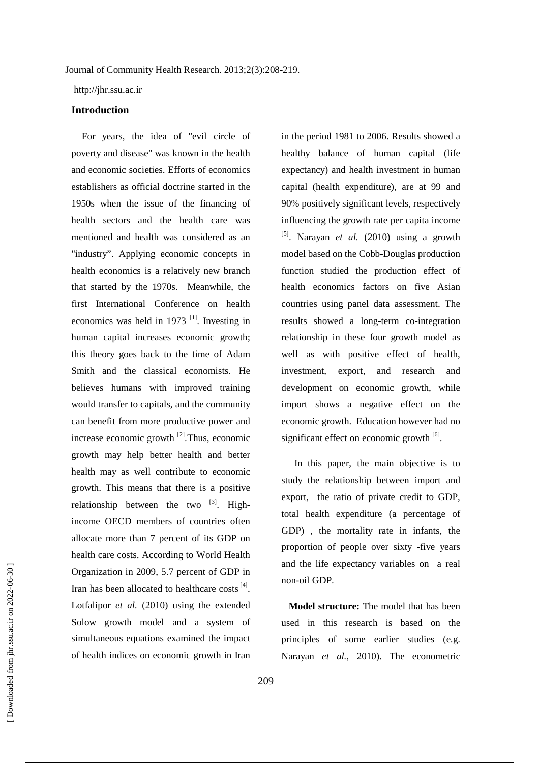http://jhr.ssu.ac.ir

#### **Introduction**

For years, the idea of "evil circle of poverty and disease" was known in the health and economic societies. Efforts of economics establishers as official doctrine started in the 1950s when the issue of the financing of health sectors and the health care was mentioned and health was considered as an "industry". Applying economic concepts in health economics is a relatively new branch that started by the 1970s. Meanwhile, the first International Conference on health economics was held in 1973  $[1]$ . Investing in human capital increases economic growth; this theory goes back to the time of Adam Smith and the classical economists. He believes humans with improved training would transfer to capitals, and the community can benefit from more productive power and increase economic growth  $^{[2]}$ . Thus, economic growth may help better health and better health may as well contribute to economic growth. This means that there is a positive relationship between the two  $^{[3]}$ . Highincome OECD members of countries often allocate more than 7 percent of its GDP on health care costs. According to World Health Organization in 2009, 5.7 percent of GDP in Iran has been allocated to healthcare costs<sup>[4]</sup>. Lotfalipor *et al.* (2010) using the extended Solow growth model and a system of simultaneous equations examined the impact of health indices on economic growth in Iran in the period 1981 to 2006. Results showed a healthy balance of human capital (life expectancy) and health investment in human capital (health expenditure), are at 99 and 90% positively significant levels, respectively influencing the growth rate per capita income [5]. Narayan *et al.* (2010) using a growth model based on the Cobb-Douglas production function studied the production effect of health economics factors on five Asian countries using panel data assessment. The results showed a long-term co-integration relationship in these four growth model as well as with positive effect of health, investment, export, and research and development on economic growth, while import shows a negative effect on the economic growth. Education however had no significant effect on economic growth <sup>[6]</sup>.

 In this paper, the main objective is to study the relationship between import and export, the ratio of private credit to GDP, total health expenditure (a percentage of GDP) , the mortality rate in infants, the proportion of people over sixty -five years and the life expectancy variables on a real non-oil GDP.

 **Model structure:** The model that has been used in this research is based on the principles of some earlier studies (e.g. Narayan *et al.*, 2010). The econometric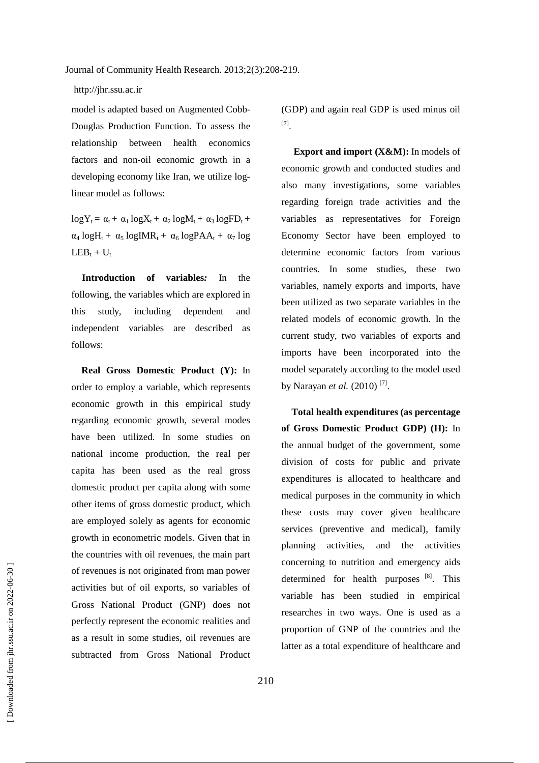#### http://jhr.ssu.ac.ir

model is adapted based on Augmented Cobb-Douglas Production Function. To assess the relationship between health economics factors and non-oil economic growth in a developing economy like Iran, we utilize loglinear model as follows:

 $logY_t = \alpha_t + \alpha_1 logX_t + \alpha_2 logM_t + \alpha_3 logFD_t +$  $\alpha_4$  logH<sub>t</sub> +  $\alpha_5$  logIMR<sub>t</sub> +  $\alpha_6$  logPAA<sub>t</sub> +  $\alpha_7$  log  $LEB_t + U_t$ 

**Introduction of variables***:* In the following, the variables which are explored in this study, including dependent and independent variables are described as follows:

**Real Gross Domestic Product (Y):** In order to employ a variable, which represents economic growth in this empirical study regarding economic growth, several modes have been utilized. In some studies on national income production, the real per capita has been used as the real gross domestic product per capita along with some other items of gross domestic product, which are employed solely as agents for economic growth in econometric models. Given that in the countries with oil revenues, the main part of revenues is not originated from man power activities but of oil exports, so variables of Gross National Product (GNP) does not perfectly represent the economic realities and as a result in some studies, oil revenues are subtracted from Gross National Product

(GDP) and again real GDP is used minus oil [7] .

**Export and import (X&M):** In models of economic growth and conducted studies and also many investigations, some variables regarding foreign trade activities and the variables as representatives for Foreign Economy Sector have been employed to determine economic factors from various countries. In some studies, these two variables, namely exports and imports, have been utilized as two separate variables in the related models of economic growth. In the current study, two variables of exports and imports have been incorporated into the model separately according to the model used by Narayan *et al.* (2010)<sup>[7]</sup>.

**Total health expenditures (as percentage of Gross Domestic Product GDP) (H):** In the annual budget of the government, some division of costs for public and private expenditures is allocated to healthcare and medical purposes in the community in which these costs may cover given healthcare services (preventive and medical), family planning activities, and the activities concerning to nutrition and emergency aids determined for health purposes [8]. This variable has been studied in empirical researches in two ways. One is used as a proportion of GNP of the countries and the latter as a total expenditure of healthcare and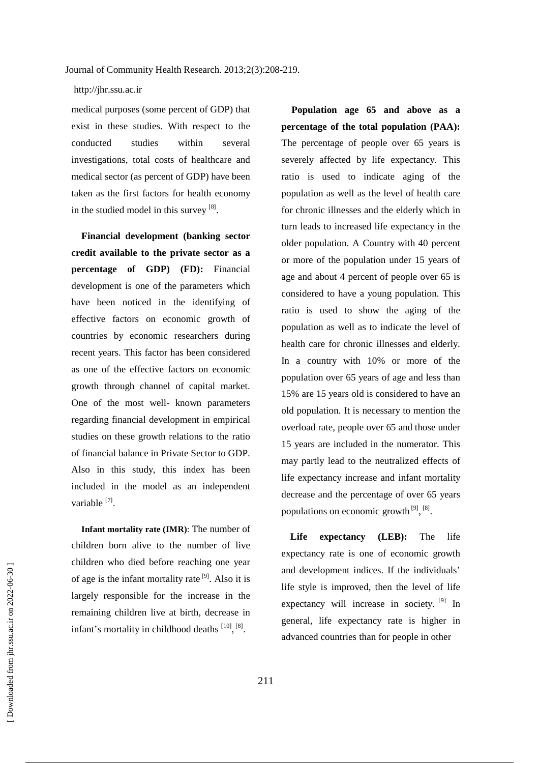medical purposes (some percent of GDP) that exist in these studies. With respect to the conducted studies within several investigations, total costs of healthcare and medical sector (as percent of GDP) have been taken as the first factors for health economy in the studied model in this survey [8].

**Financial development (banking sector credit available to the private sector as a percentage of GDP) (FD):** Financial development is one of the parameters which have been noticed in the identifying of effective factors on economic growth of countries by economic researchers during recent years. This factor has been considered as one of the effective factors on economic growth through channel of capital market. One of the most well- known parameters regarding financial development in empirical studies on these growth relations to the ratio of financial balance in Private Sector to GDP. Also in this study, this index has been included in the model as an independent variable [7].

**Infant mortality rate (IMR)**: The number of children born alive to the number of live children who died before reaching one year of age is the infant mortality rate [9]. Also it is largely responsible for the increase in the remaining children live at birth, decrease in infant's mortality in childhood deaths  $[10]$ ,  $[8]$ .

**Population age 65 and above as a percentage of the total population (PAA):**  The percentage of people over 65 years is severely affected by life expectancy. This ratio is used to indicate aging of the population as well as the level of health care for chronic illnesses and the elderly which in turn leads to increased life expectancy in the older population. A Country with 40 percent or more of the population under 15 years of age and about 4 percent of people over 65 is considered to have a young population. This ratio is used to show the aging of the population as well as to indicate the level of health care for chronic illnesses and elderly. In a country with 10% or more of the population over 65 years of age and less than 15% are 15 years old is considered to have an old population. It is necessary to mention the overload rate, people over 65 and those under 15 years are included in the numerator. This may partly lead to the neutralized effects of life expectancy increase and infant mortality decrease and the percentage of over 65 years populations on economic growth  $^{[9]}$ ,  $^{[8]}$ .

**Life expectancy (LEB):** The life expectancy rate is one of economic growth and development indices. If the individuals' life style is improved, then the level of life expectancy will increase in society. <sup>[9]</sup> In general, life expectancy rate is higher in advanced countries than for people in other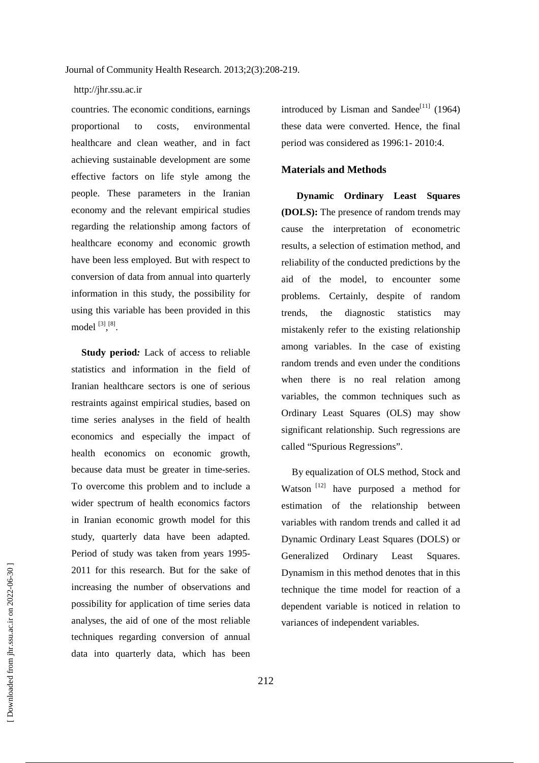countries. The economic conditions, earnings proportional to costs, environmental healthcare and clean weather, and in fact achieving sustainable development are some effective factors on life style among the people. These parameters in the Iranian economy and the relevant empirical studies regarding the relationship among factors of healthcare economy and economic growth have been less employed. But with respect to conversion of data from annual into quarterly information in this study, the possibility for using this variable has been provided in this model  $^{[3], [8]}$ .

**Study period***:* Lack of access to reliable statistics and information in the field of Iranian healthcare sectors is one of serious restraints against empirical studies, based on time series analyses in the field of health economics and especially the impact of health economics on economic growth, because data must be greater in time-series. To overcome this problem and to include a wider spectrum of health economics factors in Iranian economic growth model for this study, quarterly data have been adapted. Period of study was taken from years 1995- 2011 for this research. But for the sake of increasing the number of observations and possibility for application of time series data analyses, the aid of one of the most reliable techniques regarding conversion of annual data into quarterly data, which has been

introduced by Lisman and Sandee<sup>[11]</sup> (1964) these data were converted. Hence, the final period was considered as 1996:1- 2010:4.

#### **Materials and Methods**

 **Dynamic Ordinary Least Squares (DOLS):** The presence of random trends may cause the interpretation of econometric results, a selection of estimation method, and reliability of the conducted predictions by the aid of the model, to encounter some problems. Certainly, despite of random trends, the diagnostic statistics may mistakenly refer to the existing relationship among variables. In the case of existing random trends and even under the conditions when there is no real relation among variables, the common techniques such as Ordinary Least Squares (OLS) may show significant relationship. Such regressions are called "Spurious Regressions".

By equalization of OLS method, Stock and Watson<sup>[12]</sup> have purposed a method for estimation of the relationship between variables with random trends and called it ad Dynamic Ordinary Least Squares (DOLS) or Generalized Ordinary Least Squares. Dynamism in this method denotes that in this technique the time model for reaction of a dependent variable is noticed in relation to variances of independent variables.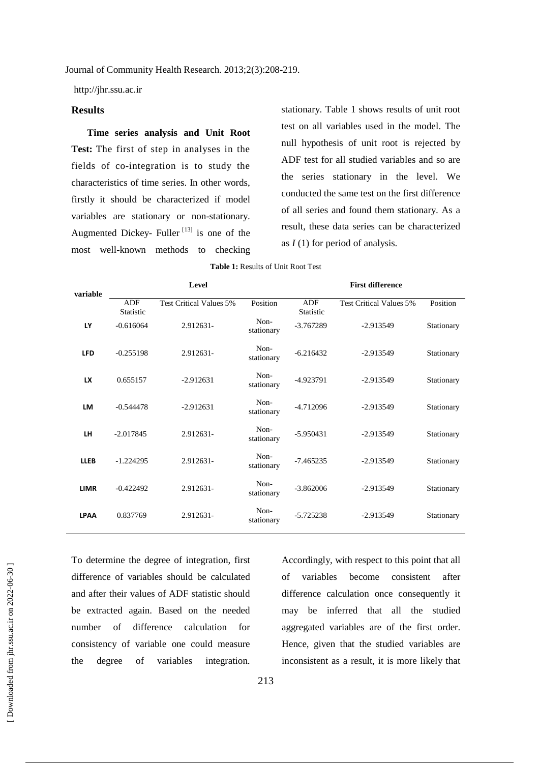http://jhr.ssu.ac.ir

#### **Results**

**Time series analysis and Unit Root Test:** The first of step in analyses in the fields of co-integration is to study the characteristics of time series. In other words, firstly it should be characterized if model variables are stationary or non-stationary. Augmented Dickey- Fuller  $[13]$  is one of the most well-known methods to checking stationary. Table 1 shows results of unit root test on all variables used in the model. The null hypothesis of unit root is rejected by ADF test for all studied variables and so are the series stationary in the level. We conducted the same test on the first difference of all series and found them stationary. As a result, these data series can be characterized as *I* (1) for period of analysis.

| <b>Table 1: Results of Unit Root Test</b> |  |
|-------------------------------------------|--|
|-------------------------------------------|--|

**variable Level First difference**  ADF Statistic Test Critical Values 5% Position ADF Statistic Test Critical Values 5% Position **LY**  $-0.616064$  2.912631-Nonstationary -3.767289 -2.913549 Stationary **LFD** -0.255198 2.912631-Nonstationary -6.216432 -2.913549 Stationary **LX** 0.655157 -2.912631 Non-<br>stationary stationary -4.923791 -2.913549 Stationary **LM** -0.544478 -2.912631 Non-<br>stationary stationary -4.712096 -2.913549 Stationary **LH**  $-2.017845$  2.912631-Nonstationary -5.950431 -2.913549 Stationary **LLEB**  $-1.224295$  2.912631-Nonstationary -7.465235 -2.913549 Stationary **LIMR**  $-0.422492$  2.912631-Nonstationary -3.862006 -2.913549 Stationary **LPAA** 0.837769 2.912631-Non--5.725238 -2.913549 Stationary

To determine the degree of integration, first difference of variables should be calculated and after their values of ADF statistic should be extracted again. Based on the needed number of difference calculation for consistency of variable one could measure the degree of variables integration.

Accordingly, with respect to this point that all of variables become consistent after difference calculation once consequently it may be inferred that all the studied aggregated variables are of the first order. Hence, given that the studied variables are inconsistent as a result, it is more likely that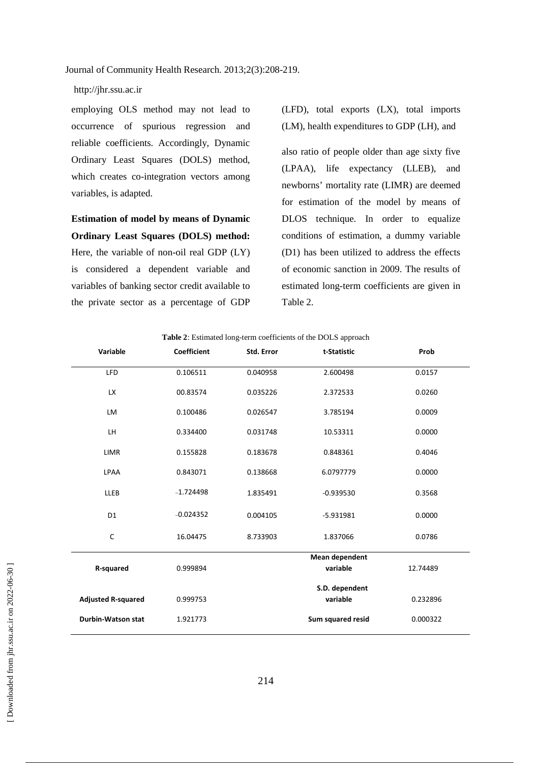employing OLS method may not lead to occurrence of spurious regression and reliable coefficients. Accordingly, Dynamic Ordinary Least Squares (DOLS) method, which creates co-integration vectors among variables, is adapted.

**Estimation of model by means of Dynamic Ordinary Least Squares (DOLS) method:**  Here, the variable of non-oil real GDP (LY) is considered a dependent variable and variables of banking sector credit available to the private sector as a percentage of GDP

(LFD), total exports (LX), total imports (LM), health expenditures to GDP (LH), and

also ratio of people older than age sixty five (LPAA), life expectancy (LLEB), and newborns' mortality rate (LIMR) are deemed for estimation of the model by means of DLOS technique. In order to equalize conditions of estimation, a dummy variable (D1) has been utilized to address the effects of economic sanction in 2009. The results of estimated long-term coefficients are given in Table 2.

| Variable                  | <b>Coefficient</b> | Std. Error | t-Statistic           | Prob     |
|---------------------------|--------------------|------------|-----------------------|----------|
| <b>LFD</b>                | 0.106511           | 0.040958   | 2.600498              | 0.0157   |
| <b>LX</b>                 | 00.83574           | 0.035226   | 2.372533              | 0.0260   |
| LM                        | 0.100486           | 0.026547   | 3.785194              | 0.0009   |
| LH                        | 0.334400           | 0.031748   | 10.53311              | 0.0000   |
| LIMR                      | 0.155828           | 0.183678   | 0.848361              | 0.4046   |
| LPAA                      | 0.843071           | 0.138668   | 6.0797779             | 0.0000   |
| <b>LLEB</b>               | $-1.724498$        | 1.835491   | $-0.939530$           | 0.3568   |
| D <sub>1</sub>            | $-0.024352$        | 0.004105   | $-5.931981$           | 0.0000   |
| $\mathsf{C}$              | 16.04475           | 8.733903   | 1.837066              | 0.0786   |
|                           |                    |            | <b>Mean dependent</b> |          |
| <b>R-squared</b>          | 0.999894           |            | variable              | 12.74489 |
|                           |                    |            | S.D. dependent        |          |
| <b>Adjusted R-squared</b> | 0.999753           |            | variable              | 0.232896 |
| <b>Durbin-Watson stat</b> | 1.921773           |            | Sum squared resid     | 0.000322 |

**Table 2**: Estimated long-term coefficients of the DOLS approach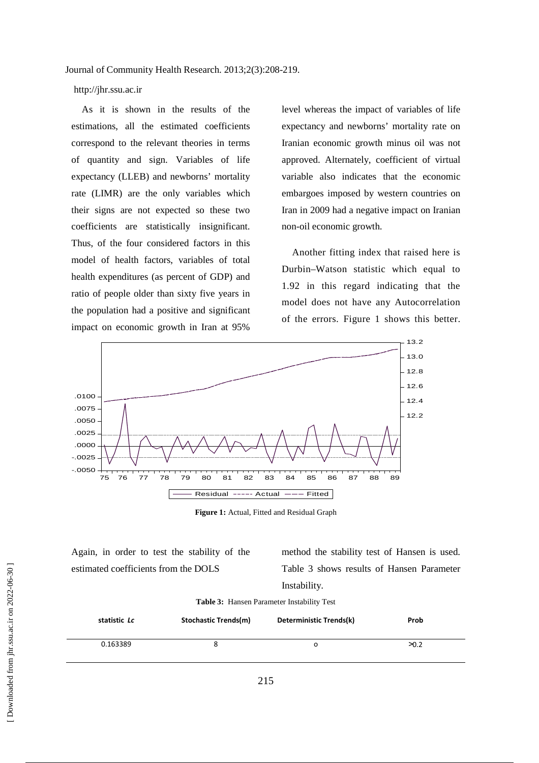#### http://jhr.ssu.ac.ir

As it is shown in the results of the estimations, all the estimated coefficients correspond to the relevant theories in terms of quantity and sign. Variables of life expectancy (LLEB) and newborns' mortality rate (LIMR) are the only variables which their signs are not expected so these two coefficients are statistically insignificant. Thus, of the four considered factors in this model of health factors, variables of total health expenditures (as percent of GDP) and ratio of people older than sixty five years in the population had a positive and significant impact on economic growth in Iran at 95%

level whereas the impact of variables of life expectancy and newborns' mortality rate on Iranian economic growth minus oil was not approved. Alternately, coefficient of virtual variable also indicates that the economic embargoes imposed by western countries on Iran in 2009 had a negative impact on Iranian non-oil economic growth.

Another fitting index that raised here is Durbin–Watson statistic which equal to 1.92 in this regard indicating that the model does not have any Autocorrelation of the errors. Figure 1 shows this better.



**Figure 1:** Actual, Fitted and Residual Graph

Again, in order to test the stability of the estimated coefficients from the DOLS

method the stability test of Hansen is used. Table 3 shows results of Hansen Parameter Instability.

#### **Table 3:** Hansen Parameter Instability Test

| statistic <i>Lc</i> | <b>Stochastic Trends(m)</b> | Deterministic Trends(k) | <b>Prob</b> |
|---------------------|-----------------------------|-------------------------|-------------|
| 0.163389            |                             | Ω                       | $\geq 0.2$  |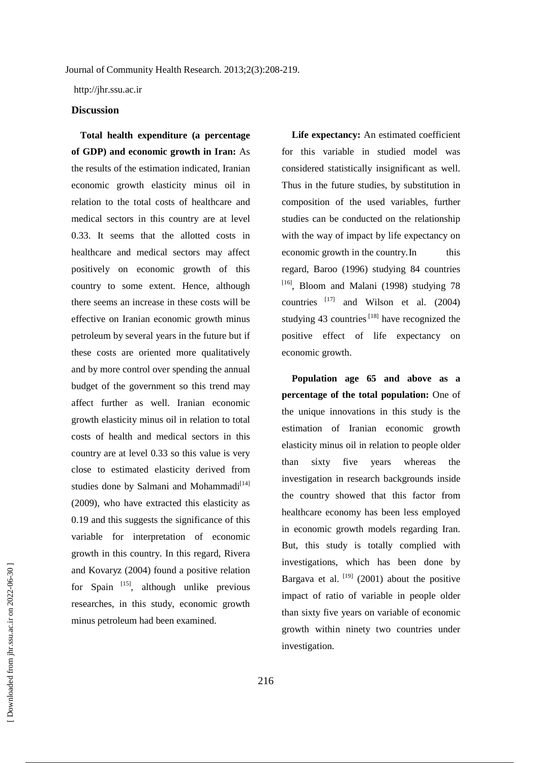http://jhr.ssu.ac.ir

#### **Discussion**

 **Total health expenditure (a percentage of GDP) and economic growth in Iran:** As the results of the estimation indicated, Iranian economic growth elasticity minus oil in relation to the total costs of healthcare and medical sectors in this country are at level 0.33. It seems that the allotted costs in healthcare and medical sectors may affect positively on economic growth of this country to some extent. Hence, although there seems an increase in these costs will be effective on Iranian economic growth minus petroleum by several years in the future but if these costs are oriented more qualitatively and by more control over spending the annual budget of the government so this trend may affect further as well. Iranian economic growth elasticity minus oil in relation to total costs of health and medical sectors in this country are at level 0.33 so this value is very close to estimated elasticity derived from studies done by Salmani and Mohammadi<sup>[14]</sup> (2009), who have extracted this elasticity as 0.19 and this suggests the significance of this variable for interpretation of economic growth in this country. In this regard, Rivera and Kovaryz (2004) found a positive relation for Spain  $^{[15]}$ , although unlike previous researches, in this study, economic growth minus petroleum had been examined.

Life expectancy: An estimated coefficient for this variable in studied model was considered statistically insignificant as well. Thus in the future studies, by substitution in composition of the used variables, further studies can be conducted on the relationship with the way of impact by life expectancy on economic growth in the country. In this regard, Baroo (1996) studying 84 countries  $[16]$ , Bloom and Malani (1998) studying 78 countries  $[17]$  and Wilson et al. (2004) studying 43 countries  $[18]$  have recognized the positive effect of life expectancy on economic growth.

**Population age 65 and above as a percentage of the total population:** One of the unique innovations in this study is the estimation of Iranian economic growth elasticity minus oil in relation to people older than sixty five years whereas the investigation in research backgrounds inside the country showed that this factor from healthcare economy has been less employed in economic growth models regarding Iran. But, this study is totally complied with investigations, which has been done by Bargava et al.  $[19]$  (2001) about the positive impact of ratio of variable in people older than sixty five years on variable of economic growth within ninety two countries under investigation.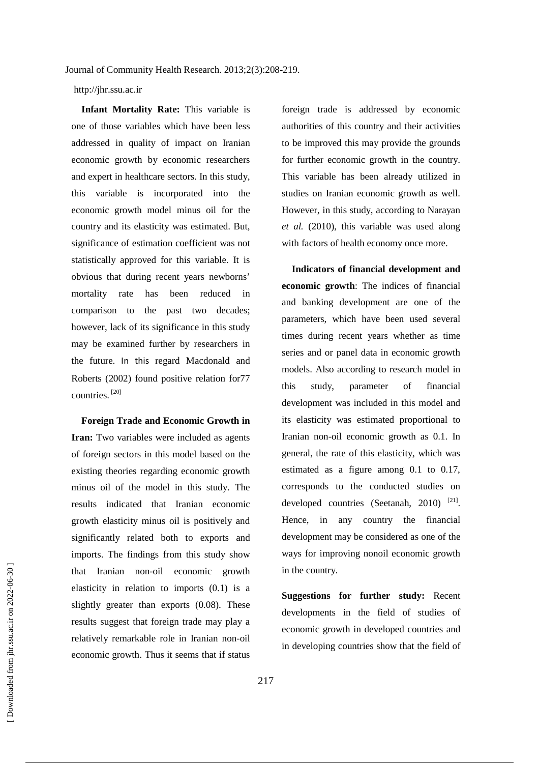**Infant Mortality Rate:** This variable is one of those variables which have been less addressed in quality of impact on Iranian economic growth by economic researchers and expert in healthcare sectors. In this study, this variable is incorporated into the economic growth model minus oil for the country and its elasticity was estimated. But, significance of estimation coefficient was not statistically approved for this variable. It is obvious that during recent years newborns' mortality rate has been reduced in comparison to the past two decades; however, lack of its significance in this study may be examined further by researchers in the future. In this regard Macdonald and Roberts (2002) found positive relation for77 countries. [20]

**Foreign Trade and Economic Growth in Iran:** Two variables were included as agents of foreign sectors in this model based on the existing theories regarding economic growth minus oil of the model in this study. The results indicated that Iranian economic growth elasticity minus oil is positively and significantly related both to exports and imports. The findings from this study show that Iranian non-oil economic growth elasticity in relation to imports (0.1) is a slightly greater than exports (0.08). These results suggest that foreign trade may play a relatively remarkable role in Iranian non-oil economic growth. Thus it seems that if status foreign trade is addressed by economic authorities of this country and their activities to be improved this may provide the grounds for further economic growth in the country. This variable has been already utilized in studies on Iranian economic growth as well. However, in this study, according to Narayan *et al.* (2010), this variable was used along with factors of health economy once more.

**Indicators of financial development and economic growth**: The indices of financial and banking development are one of the parameters, which have been used several times during recent years whether as time series and or panel data in economic growth models. Also according to research model in this study, parameter of financial development was included in this model and its elasticity was estimated proportional to Iranian non-oil economic growth as 0.1. In general, the rate of this elasticity, which was estimated as a figure among 0.1 to 0.17, corresponds to the conducted studies on developed countries (Seetanah, 2010)  $^{[21]}$ . Hence, in any country the financial development may be considered as one of the ways for improving nonoil economic growth in the country.

**Suggestions for further study:** Recent developments in the field of studies of economic growth in developed countries and in developing countries show that the field of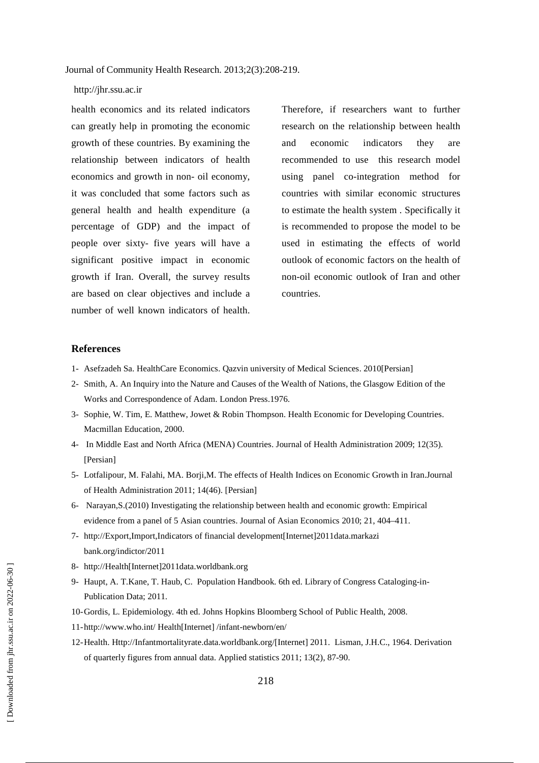#### http://jhr.ssu.ac.ir

health economics and its related indicators can greatly help in promoting the economic growth of these countries. By examining the relationship between indicators of health economics and growth in non- oil economy, it was concluded that some factors such as general health and health expenditure (a percentage of GDP) and the impact of people over sixty- five years will have a significant positive impact in economic growth if Iran. Overall, the survey results are based on clear objectives and include a number of well known indicators of health.

Therefore, if researchers want to further research on the relationship between health and economic indicators they are recommended to use this research model using panel co-integration method for countries with similar economic structures to estimate the health system . Specifically it is recommended to propose the model to be used in estimating the effects of world outlook of economic factors on the health of non-oil economic outlook of Iran and other countries.

#### **References**

- 1- Asefzadeh Sa. HealthCare Economics. Qazvin university of Medical Sciences. 2010[Persian]
- 2- Smith, A. An Inquiry into the Nature and Causes of the Wealth of Nations, the Glasgow Edition of the Works and Correspondence of Adam. London Press.1976.
- 3- Sophie, W. Tim, E. Matthew, Jowet & Robin Thompson. Health Economic for Developing Countries. Macmillan Education, 2000.
- 4- In Middle East and North Africa (MENA) Countries. Journal of Health Administration 2009; 12(35). [Persian]
- 5- Lotfalipour, M. Falahi, MA. Borji,M. The effects of Health Indices on Economic Growth in Iran.Journal of Health Administration 2011; 14(46). [Persian]
- 6- Narayan,S.(2010) Investigating the relationship between health and economic growth: Empirical evidence from a panel of 5 Asian countries. Journal of Asian Economics 2010; 21, 404–411.
- 7- http://Export,Import,Indicators of financial development[Internet]2011data.markazi bank.org/indictor/2011
- 8- http://Health[Internet]2011data.worldbank.org
- 9- Haupt, A. T.Kane, T. Haub, C. Population Handbook. 6th ed. Library of Congress Cataloging-in-Publication Data; 2011.
- 10-Gordis, L. Epidemiology. 4th ed. Johns Hopkins Bloomberg School of Public Health, 2008.
- 11-http://www.who.int/ Health[Internet] /infant-newborn/en/
- 12-Health. Http://Infantmortalityrate.data.worldbank.org/[Internet] 2011. Lisman, J.H.C., 1964. Derivation of quarterly figures from annual data. Applied statistics 2011; 13(2), 87-90.